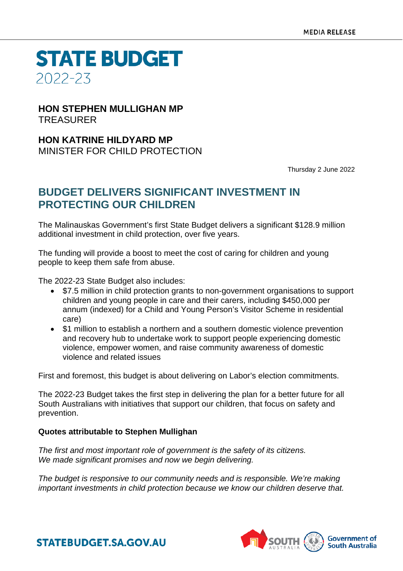**STATE BUDGET** 2022-23

### **HON STEPHEN MULLIGHAN MP** TREASURER

**HON KATRINE HILDYARD MP** MINISTER FOR CHILD PROTECTION

Thursday 2 June 2022

## **BUDGET DELIVERS SIGNIFICANT INVESTMENT IN PROTECTING OUR CHILDREN**

The Malinauskas Government's first State Budget delivers a significant \$128.9 million additional investment in child protection, over five years.

The funding will provide a boost to meet the cost of caring for children and young people to keep them safe from abuse.

The 2022-23 State Budget also includes:

- \$7.5 million in child protection grants to non-government organisations to support children and young people in care and their carers, including \$450,000 per annum (indexed) for a Child and Young Person's Visitor Scheme in residential care)
- \$1 million to establish a northern and a southern domestic violence prevention and recovery hub to undertake work to support people experiencing domestic violence, empower women, and raise community awareness of domestic violence and related issues

First and foremost, this budget is about delivering on Labor's election commitments.

The 2022-23 Budget takes the first step in delivering the plan for a better future for all South Australians with initiatives that support our children, that focus on safety and prevention.

#### **Quotes attributable to Stephen Mullighan**

*The first and most important role of government is the safety of its citizens. We made significant promises and now we begin delivering.*

*The budget is responsive to our community needs and is responsible. We're making important investments in child protection because we know our children deserve that.*